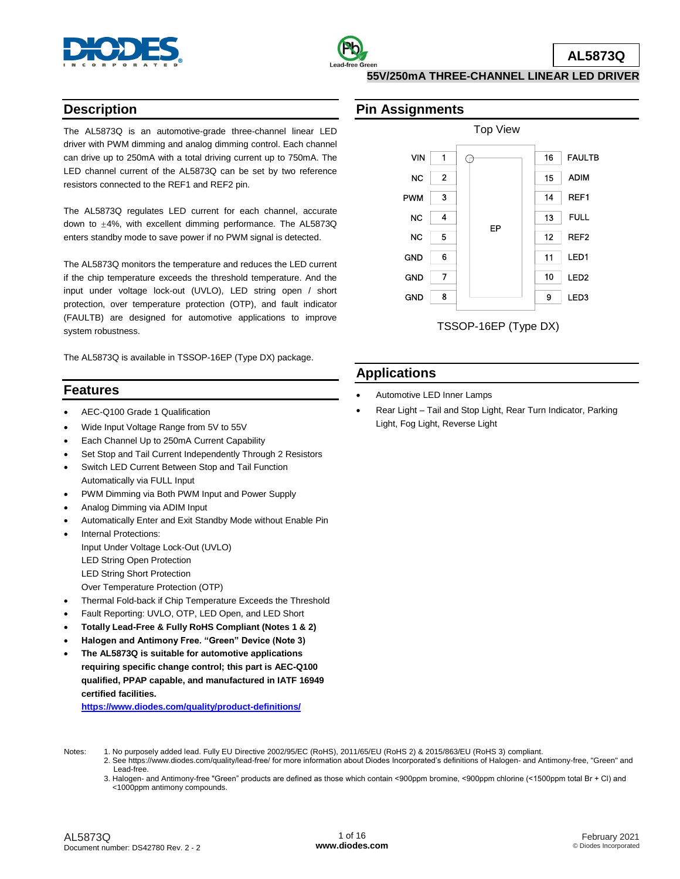



# **Description**

The AL5873Q is an automotive-grade three-channel linear LED driver with PWM dimming and analog dimming control. Each channel can drive up to 250mA with a total driving current up to 750mA. The LED channel current of the AL5873Q can be set by two reference resistors connected to the REF1 and REF2 pin.

The AL5873Q regulates LED current for each channel, accurate down to ±4%, with excellent dimming performance. The AL5873Q enters standby mode to save power if no PWM signal is detected.

The AL5873Q monitors the temperature and reduces the LED current if the chip temperature exceeds the threshold temperature. And the input under voltage lock-out (UVLO), LED string open / short protection, over temperature protection (OTP), and fault indicator (FAULTB) are designed for automotive applications to improve system robustness.

The AL5873Q is available in TSSOP-16EP (Type DX) package.

# **Features**

- AEC-Q100 Grade 1 Qualification
- Wide Input Voltage Range from 5V to 55V
- Each Channel Up to 250mA Current Capability
- Set Stop and Tail Current Independently Through 2 Resistors
- Switch LED Current Between Stop and Tail Function Automatically via FULL Input
- PWM Dimming via Both PWM Input and Power Supply
- Analog Dimming via ADIM Input
- Automatically Enter and Exit Standby Mode without Enable Pin
	- Internal Protections: Input Under Voltage Lock-Out (UVLO) LED String Open Protection LED String Short Protection
		- Over Temperature Protection (OTP)
- Thermal Fold-back if Chip Temperature Exceeds the Threshold
- Fault Reporting: UVLO, OTP, LED Open, and LED Short
- **Totally Lead-Free & Fully RoHS Compliant (Notes 1 & 2)**
- **Halogen and Antimony Free. "Green" Device (Note 3)**
- **The AL5873Q is suitable for automotive applications requiring specific change control; this part is AEC-Q100 qualified, PPAP capable, and manufactured in IATF 16949 certified facilities.**

**[https://www.diodes.com/quality/product-definitions/](https://www.diodes.com/quality/product-compliance-definitions/)**

### **Pin Assignments**



# **Applications**

- Automotive LED Inner Lamps
- Rear Light Tail and Stop Light, Rear Turn Indicator, Parking Light, Fog Light, Reverse Light

- Notes: 1. No purposely added lead. Fully EU Directive 2002/95/EC (RoHS), 2011/65/EU (RoHS 2) & 2015/863/EU (RoHS 3) compliant.
	- 2. See https://www.diodes.com/quality/lead-free/ for more information about Diodes Incorporated's definitions of Halogen- and Antimony-free, "Green" and Lead-free.
	- 3. Halogen- and Antimony-free "Green" products are defined as those which contain <900ppm bromine, <900ppm chlorine (<1500ppm total Br + Cl) and <1000ppm antimony compounds.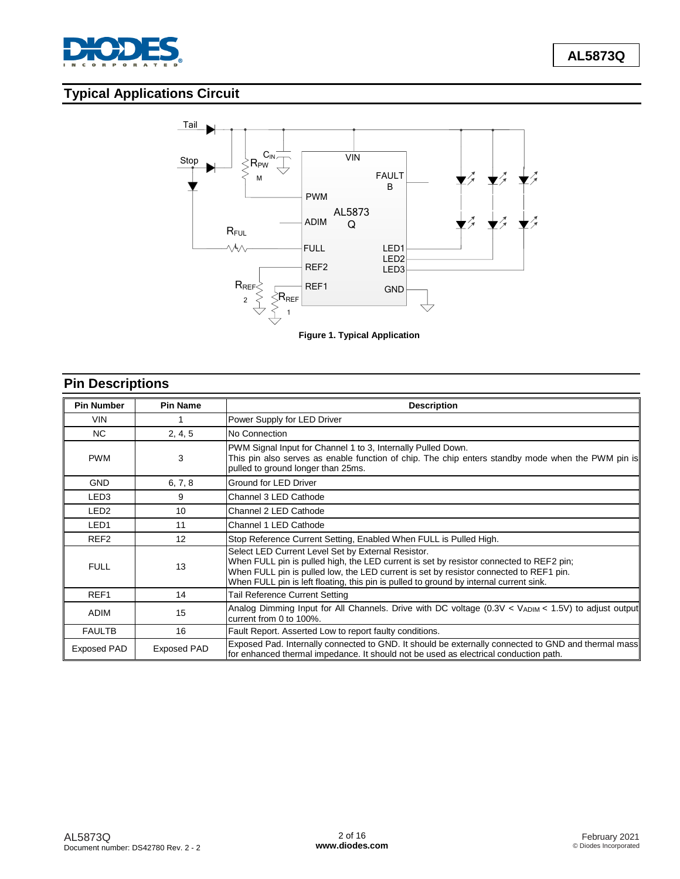

# **Typical Applications Circuit**



# **Pin Descriptions**

| <b>Pin Number</b> | <b>Pin Name</b> | <b>Description</b>                                                                                                                                                                                                                                                                                                                |  |  |
|-------------------|-----------------|-----------------------------------------------------------------------------------------------------------------------------------------------------------------------------------------------------------------------------------------------------------------------------------------------------------------------------------|--|--|
| <b>VIN</b>        |                 | Power Supply for LED Driver                                                                                                                                                                                                                                                                                                       |  |  |
| NC.               | 2, 4, 5         | No Connection                                                                                                                                                                                                                                                                                                                     |  |  |
| <b>PWM</b>        | 3               | PWM Signal Input for Channel 1 to 3, Internally Pulled Down.<br>This pin also serves as enable function of chip. The chip enters standby mode when the PWM pin is<br>pulled to ground longer than 25ms.                                                                                                                           |  |  |
| <b>GND</b>        | 6, 7, 8         | Ground for LED Driver                                                                                                                                                                                                                                                                                                             |  |  |
| LED <sub>3</sub>  | 9               | Channel 3 LED Cathode                                                                                                                                                                                                                                                                                                             |  |  |
| LED <sub>2</sub>  | 10              | Channel 2 LED Cathode                                                                                                                                                                                                                                                                                                             |  |  |
| LED <sub>1</sub>  | 11              | Channel 1 LED Cathode                                                                                                                                                                                                                                                                                                             |  |  |
| REF <sub>2</sub>  | 12              | Stop Reference Current Setting, Enabled When FULL is Pulled High.                                                                                                                                                                                                                                                                 |  |  |
| <b>FULL</b>       | 13              | Select LED Current Level Set by External Resistor.<br>When FULL pin is pulled high, the LED current is set by resistor connected to REF2 pin;<br>When FULL pin is pulled low, the LED current is set by resistor connected to REF1 pin.<br>When FULL pin is left floating, this pin is pulled to ground by internal current sink. |  |  |
| REF <sub>1</sub>  | 14              | Tail Reference Current Setting                                                                                                                                                                                                                                                                                                    |  |  |
| <b>ADIM</b>       | 15              | Analog Dimming Input for All Channels. Drive with DC voltage (0.3V < $V_{ADIM}$ < 1.5V) to adjust output<br>current from 0 to 100%.                                                                                                                                                                                               |  |  |
| <b>FAULTB</b>     | 16              | Fault Report. Asserted Low to report faulty conditions.                                                                                                                                                                                                                                                                           |  |  |
| Exposed PAD       | Exposed PAD     | Exposed Pad. Internally connected to GND. It should be externally connected to GND and thermal mass<br>for enhanced thermal impedance. It should not be used as electrical conduction path.                                                                                                                                       |  |  |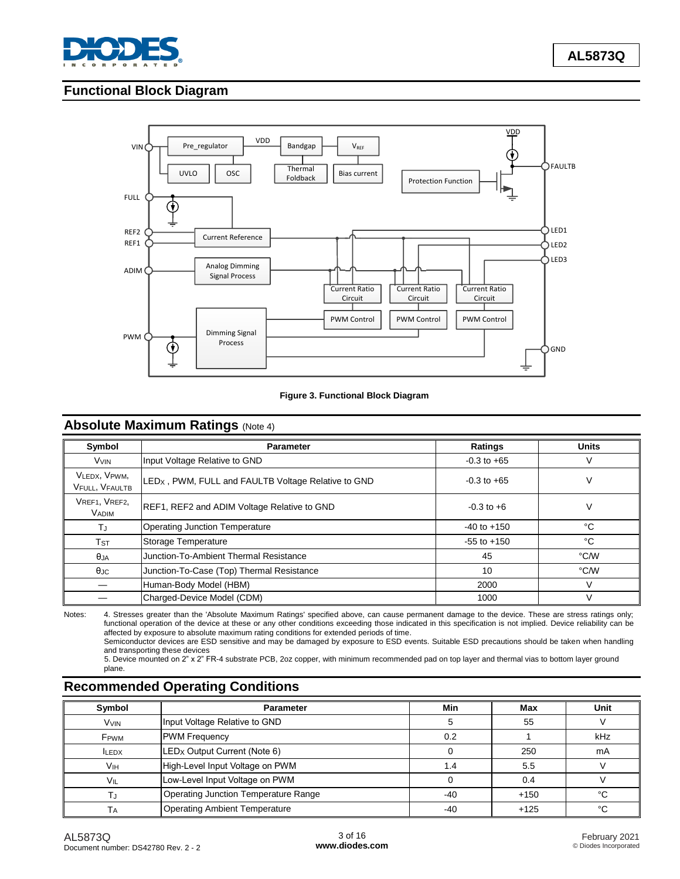

# **Functional Block Diagram**



#### **Figure 3. Functional Block Diagram**

# **Absolute Maximum Ratings (Note 4)**

| Symbol                           | <b>Parameter</b>                                                | Ratings         | <b>Units</b> |
|----------------------------------|-----------------------------------------------------------------|-----------------|--------------|
| VVIN                             | Input Voltage Relative to GND                                   | $-0.3$ to $+65$ | ٧            |
| VLEDX, VPWM,<br>VFULL, VFAULTB   | LED <sub>X</sub> , PWM, FULL and FAULTB Voltage Relative to GND | $-0.3$ to $+65$ | V            |
| VREF1, VREF2,<br><b>VADIM</b>    | REF1, REF2 and ADIM Voltage Relative to GND                     | $-0.3$ to $+6$  | V            |
| ТJ                               | <b>Operating Junction Temperature</b>                           | $-40$ to $+150$ | °C           |
| $\mathsf{T}\mathsf{s}\mathsf{T}$ | Storage Temperature                                             | $-55$ to $+150$ | °C           |
| θja                              | Junction-To-Ambient Thermal Resistance                          | 45              | °C/W         |
| $\theta$ JC                      | Junction-To-Case (Top) Thermal Resistance                       | 10              | °C/W         |
|                                  | Human-Body Model (HBM)                                          | 2000            | V            |
| Charged-Device Model (CDM)       |                                                                 | 1000            |              |

Notes: 4. Stresses greater than the 'Absolute Maximum Ratings' specified above, can cause permanent damage to the device. These are stress ratings only; functional operation of the device at these or any other conditions exceeding those indicated in this specification is not implied. Device reliability can be affected by exposure to absolute maximum rating conditions for extended periods of time.

Semiconductor devices are ESD sensitive and may be damaged by exposure to ESD events. Suitable ESD precautions should be taken when handling and transporting these devices

5. Device mounted on 2" x 2" FR-4 substrate PCB, 2oz copper, with minimum recommended pad on top layer and thermal vias to bottom layer ground plane.

# **Recommended Operating Conditions**

| Symbol                  | <b>Parameter</b>                            | Min   | Max    | Unit |
|-------------------------|---------------------------------------------|-------|--------|------|
| <b>VVIN</b>             | Input Voltage Relative to GND               |       | 55     |      |
| <b>F</b> <sub>PWM</sub> | <b>PWM Frequency</b>                        | 0.2   |        | kHz  |
| <b>ILEDX</b>            | $LEDX$ Output Current (Note 6)              |       | 250    | mA   |
| V <sub>IH</sub>         | High-Level Input Voltage on PWM             | 1.4   | 5.5    |      |
| VIL                     | Low-Level Input Voltage on PWM              |       | 0.4    |      |
| TJ                      | <b>Operating Junction Temperature Range</b> | $-40$ | $+150$ | °€   |
| Tд                      | <b>Operating Ambient Temperature</b>        | $-40$ | $+125$ | °C   |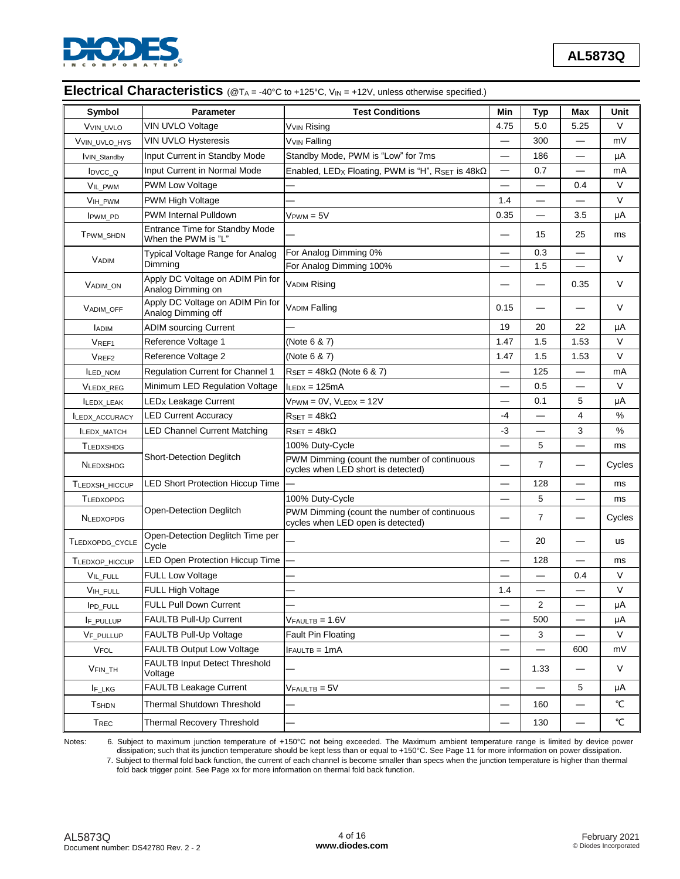

# **Electrical Characteristics** (@TA = -40°C to +125°C, VIN = +12V, unless otherwise specified.)

| Symbol             | <b>Parameter</b>                                       | <b>Test Conditions</b>                                                            | Min                      | <b>Typ</b>     | Max                      | Unit                |
|--------------------|--------------------------------------------------------|-----------------------------------------------------------------------------------|--------------------------|----------------|--------------------------|---------------------|
| VVIN UVLO          | VIN UVLO Voltage                                       | Vvın Rising                                                                       |                          | 5.0            | 5.25                     | V                   |
| VVIN UVLO HYS      | VIN UVLO Hysteresis                                    | <b>VVIN Falling</b>                                                               |                          | 300            |                          | mV                  |
| <b>VIN Standby</b> | Input Current in Standby Mode                          | Standby Mode, PWM is "Low" for 7ms                                                |                          | 186            |                          | μA                  |
| IDVCC_Q            | Input Current in Normal Mode                           | Enabled, LEDx Floating, PWM is "H", RSET is 48kΩ                                  |                          | 0.7            |                          | mA                  |
| VIL_PWM            | <b>PWM Low Voltage</b>                                 |                                                                                   |                          |                | 0.4                      | V                   |
| VIH PWM            | <b>PWM High Voltage</b>                                |                                                                                   | 1.4                      |                |                          | V                   |
| <b>IPWM PD</b>     | <b>PWM Internal Pulldown</b>                           | $V_{\text{PWM}} = 5V$                                                             | 0.35                     |                | 3.5                      | μA                  |
| TPWM SHDN          | Entrance Time for Standby Mode<br>When the PWM is "L"  |                                                                                   |                          | 15             | 25                       | ms                  |
| <b>VADIM</b>       | Typical Voltage Range for Analog                       | For Analog Dimming 0%                                                             |                          |                |                          | V                   |
|                    | Dimming                                                | For Analog Dimming 100%                                                           |                          | 1.5            |                          |                     |
| <b>VADIM ON</b>    | Apply DC Voltage on ADIM Pin for<br>Analog Dimming on  | <b>VADIM Rising</b>                                                               |                          |                | 0.35                     | V                   |
| <b>VADIM OFF</b>   | Apply DC Voltage on ADIM Pin for<br>Analog Dimming off | <b>VADIM Falling</b>                                                              | 0.15                     |                |                          | V                   |
| <b>LADIM</b>       | <b>ADIM sourcing Current</b>                           |                                                                                   | 19                       | 20             | 22                       | μA                  |
| VREF1              | Reference Voltage 1                                    | (Note 6 & 7)                                                                      | 1.47                     | 1.5            | 1.53                     | V                   |
| VREF2              | Reference Voltage 2                                    | (Note 6 & 7)                                                                      | 1.47                     | 1.5            | 1.53                     | V                   |
| <b>ILED_NOM</b>    | Regulation Current for Channel 1                       | $R_{\text{SET}} = 48k\Omega$ (Note 6 & 7)                                         |                          | 125            |                          | mA                  |
| VLEDX_REG          | Minimum LED Regulation Voltage                         | $I_{LEDX} = 125mA$                                                                |                          | 0.5            |                          | V                   |
| <b>ILEDX LEAK</b>  | <b>LEDx Leakage Current</b>                            | $V$ PWM = $0V$ , $V$ LEDX = $12V$                                                 |                          | 0.1            | 5                        | μA                  |
| ILEDX_ACCURACY     | <b>LED Current Accuracy</b>                            | $R_{\text{SET}} = 48 \text{k}\Omega$                                              |                          |                | 4                        | %                   |
| <b>ILEDX_MATCH</b> | <b>LED Channel Current Matching</b>                    | $R_{\text{SET}} = 48k\Omega$                                                      | $-3$                     |                | 3                        | %                   |
| <b>TLEDXSHDG</b>   |                                                        | 100% Duty-Cycle                                                                   |                          | 5              |                          | ms                  |
| <b>NLEDXSHDG</b>   | <b>Short-Detection Deglitch</b>                        | PWM Dimming (count the number of continuous<br>cycles when LED short is detected) |                          | $\overline{7}$ |                          | Cycles              |
| TLEDXSH_HICCUP     | <b>LED Short Protection Hiccup Time</b>                |                                                                                   |                          | 128            |                          | ms                  |
| <b>TLEDXOPDG</b>   |                                                        | 100% Duty-Cycle                                                                   |                          | 5              | $\overline{\phantom{0}}$ | ms                  |
| <b>NLEDXOPDG</b>   | Open-Detection Deglitch                                | PWM Dimming (count the number of continuous<br>cycles when LED open is detected)  |                          | $\overline{7}$ |                          | Cycles              |
| TLEDXOPDG_CYCLE    | Open-Detection Deglitch Time per<br>Cycle              |                                                                                   |                          | 20             |                          | <b>us</b>           |
| TLEDXOP HICCUP     | LED Open Protection Hiccup Time                        |                                                                                   |                          | 128            |                          | ms                  |
| VIL_FULL           | <b>FULL Low Voltage</b>                                |                                                                                   |                          |                | 0.4                      | V                   |
| VIH FULL           | FULL High Voltage                                      |                                                                                   | 1.4                      |                |                          | V                   |
| <b>IPD_FULL</b>    | FULL Pull Down Current                                 |                                                                                   |                          | $\overline{2}$ |                          | μA                  |
| IF PULLUP          | FAULTB Pull-Up Current                                 | $V$ FAULTB = $1.6V$                                                               |                          | 500            |                          | μA                  |
| VF_PULLUP          | FAULTB Pull-Up Voltage                                 | Fault Pin Floating                                                                |                          | 3              |                          | V                   |
| VFOL               | <b>FAULTB Output Low Voltage</b>                       | $IFAULTB = 1mA$                                                                   |                          |                | 600                      | mV                  |
| VFIN_TH            | FAULTB Input Detect Threshold<br>Voltage               |                                                                                   | $\overline{\phantom{0}}$ | 1.33           |                          | V                   |
| IF_LKG             | <b>FAULTB Leakage Current</b>                          | $V$ FAULTB = $5V$                                                                 | $\overline{\phantom{0}}$ |                | 5                        | μA                  |
| <b>T</b> SHDN      | Thermal Shutdown Threshold                             |                                                                                   |                          | 160            |                          | °C                  |
| T <sub>REC</sub>   | <b>Thermal Recovery Threshold</b>                      |                                                                                   |                          | 130            |                          | $^{\circ}\!{\rm C}$ |

Notes: 6. Subject to maximum junction temperature of +150°C not being exceeded. The Maximum ambient temperature range is limited by device power dissipation; such that its junction temperature should be kept less than or equal to +150°C. See Page 11 for more information on power dissipation.

7. Subject to thermal fold back function, the current of each channel is become smaller than specs when the junction temperature is higher than thermal fold back trigger point. See Page xx for more information on thermal fold back function.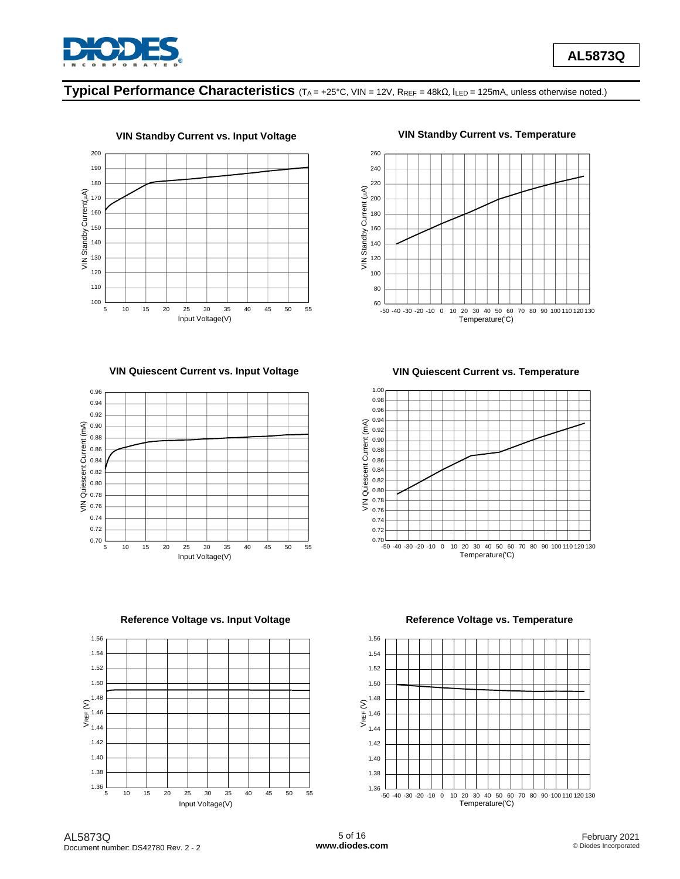

# **Typical Performance Characteristics** (TA = +25°C, VIN = 12V, RREF <sup>=</sup> 48kΩ, ILED = 125mA, unless otherwise noted.)





# **VIN Standby Current vs. Input Voltage VIN Standby Current vs. Temperature**



**VIN Quiescent Current vs. Input Voltage VIN Quiescent Current vs. Temperature**





**Reference Voltage vs. Input Voltage Reference Voltage vs. Temperature**

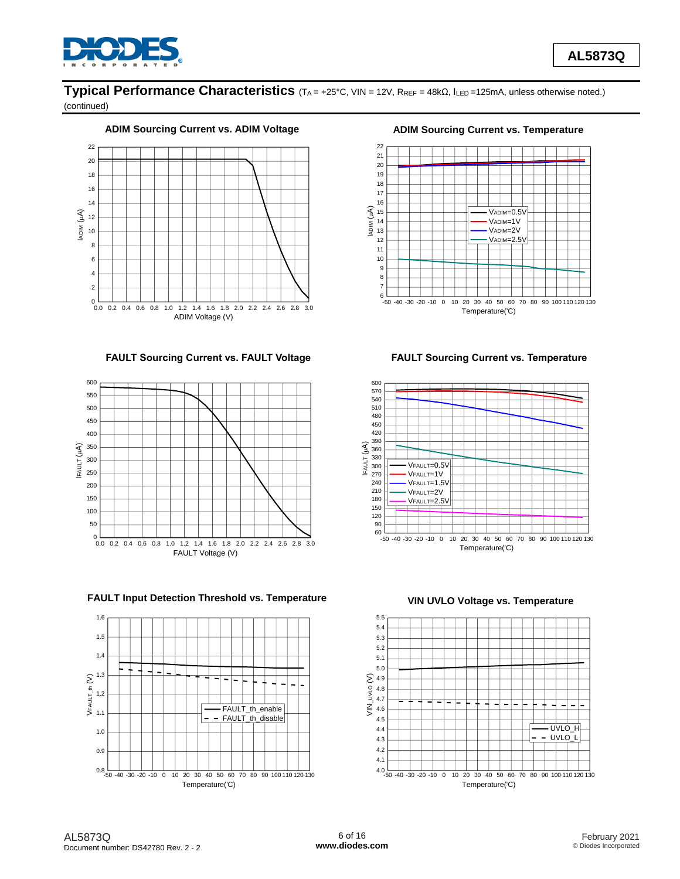

# **Typical Performance Characteristics** (TA = +25°C, VIN = 12V, RREF = 48kΩ, ILED =125mA, unless otherwise noted.)

(continued)

### ADIM Sourcing Current vs. ADIM Voltage **ADIM Sourcing Current vs. Temperature**



**FAULT Sourcing Current vs. FAULT Voltage FAULT Sourcing Current vs. Temperature**



**FAULT Input Detection Threshold vs. Temperature VIN UVLO Voltage vs. Temperature**







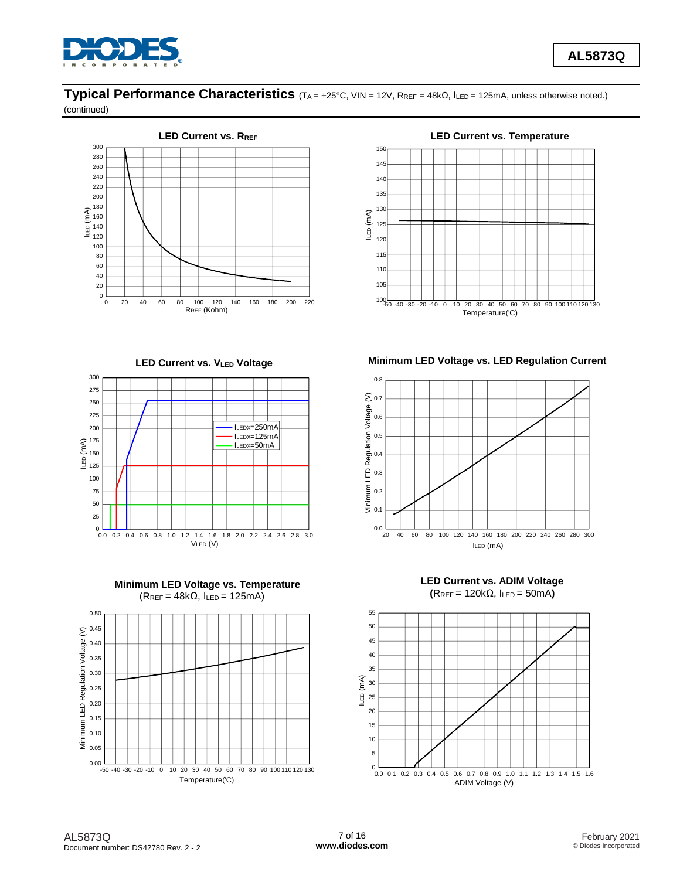

# **Typical Performance Characteristics** (TA = +25°C, VIN = 12V, RREF = 48kΩ, ILED = 125mA, unless otherwise noted.)

(continued)











**LED Current vs. VLED Voltage Minimum LED Voltage vs. LED Regulation Current**





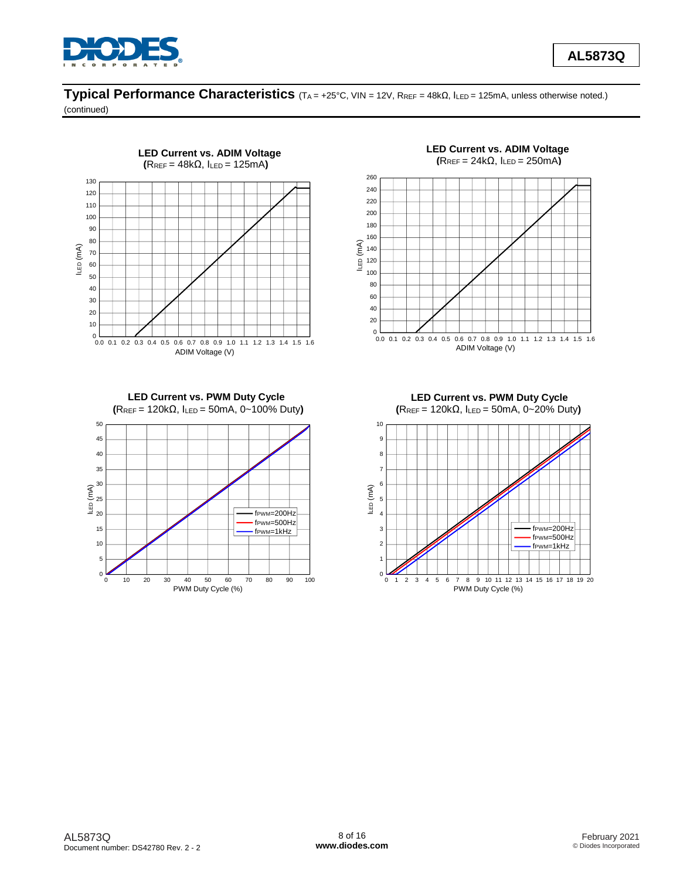

**AL5873Q**

# **Typical Performance Characteristics** (TA = +25°C, VIN = 12V, RREF = 48kΩ, ILED = 125mA, unless otherwise noted.)

(continued)

50



**LED Current vs. PWM Duty Cycle (**RREF = 120kΩ, ILED = 50mA, 0~100% Duty**)**



**(**RREF = 24kΩ, ILED = 250mA**)**  $\frac{1}{2}$ <br>
0.0 0.1 0.2 0.3 0.4 0.5 0.6 0.7 0.8 0.9 1.0 1.1 1.2 1.3 1.4 1.5 1.6<br>
ADIM Voltage (V)<br>
ADIM Voltage (V) 0 20 40 60 80 100 120 140 160 180 200 220 240 260  $\left( \begin{array}{ccc} \widehat{E} & 140 \\ 0 & 120 \end{array} \right)$ ADIM Voltage (V)

**LED Current vs. ADIM Voltage**

**(**RREF = 120kΩ, ILED = 50mA, 0~20% Duty**)** 0 1 2 3 4 5 6 7 8 9 10 11 12 13 14 15 16 17 18 19 20  $0\begin{array}{c} 0 \\ 0 \\ 1 \\ 2 \\ 3 \end{array}$ 1  $\rightarrow$ 2 3 <del>. . . . . . . .</del> 4 5 <del>. . . . . . . .</del> 6 7 8 9 10  $\begin{array}{ccc}\n\text{LED (mA)} & \circ \\
\text{S} & \circ \\
\text{A} & \circ\n\end{array}$ PWM Duty Cycle (%) fPWM=200Hz fPWM=500Hz fPWM=1kHz

**LED Current vs. PWM Duty Cycle**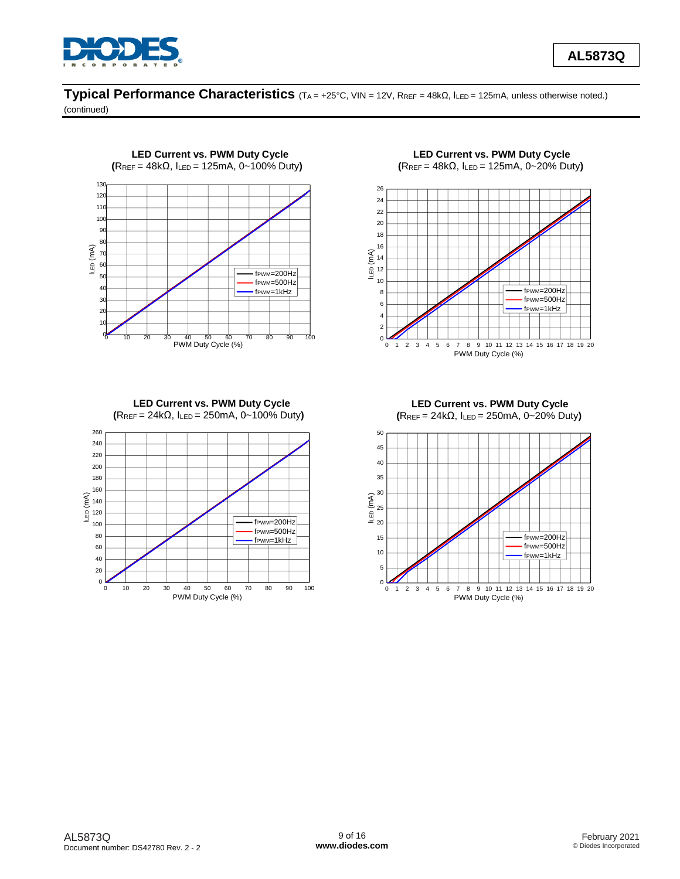

# **Typical Performance Characteristics** (TA = +25°C, VIN = 12V, RREF = 48kΩ, ILED = 125mA, unless otherwise noted.)

(continued)



**LED Current vs. PWM Duty Cycle (**RREF = 24kΩ, ILED = 250mA, 0~100% Duty**)**



**LED Current vs. PWM Duty Cycle (**RREF = 48kΩ, ILED = 125mA, 0~20% Duty**)**



**LED Current vs. PWM Duty Cycle (**RREF = 24kΩ, ILED = 250mA, 0~20% Duty**)**

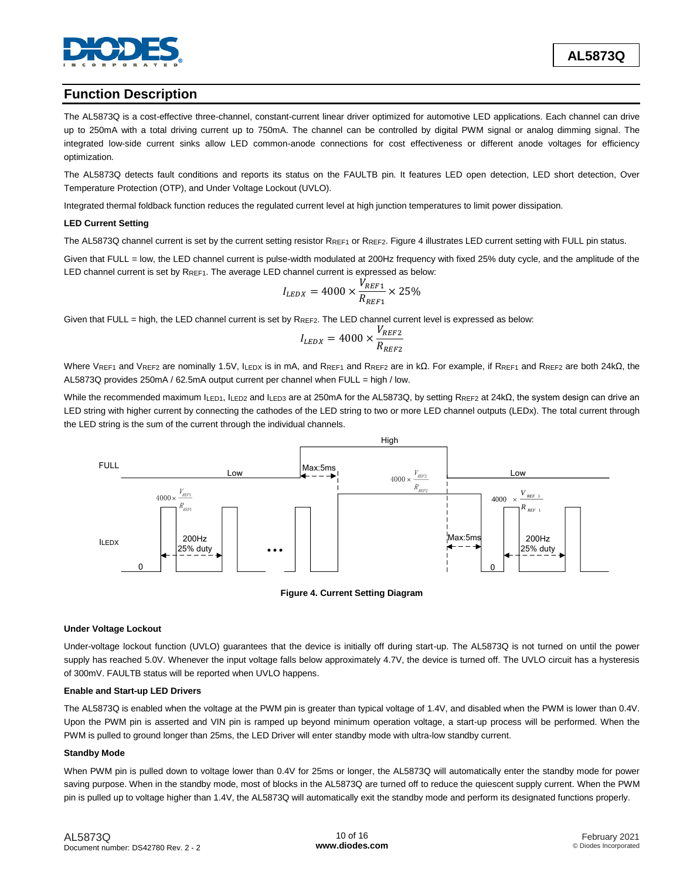

# **Function Description**

The AL5873Q is a cost-effective three-channel, constant-current linear driver optimized for automotive LED applications. Each channel can drive up to 250mA with a total driving current up to 750mA. The channel can be controlled by digital PWM signal or analog dimming signal. The integrated low-side current sinks allow LED common-anode connections for cost effectiveness or different anode voltages for efficiency optimization.

The AL5873Q detects fault conditions and reports its status on the FAULTB pin. It features LED open detection, LED short detection, Over Temperature Protection (OTP), and Under Voltage Lockout (UVLO).

Integrated thermal foldback function reduces the regulated current level at high junction temperatures to limit power dissipation.

#### **LED Current Setting**

The AL5873Q channel current is set by the current setting resistor RREF1 or RREF2. Figure 4 illustrates LED current setting with FULL pin status.

Given that FULL = low, the LED channel current is pulse-width modulated at 200Hz frequency with fixed 25% duty cycle, and the amplitude of the LED channel current is set by RREF1. The average LED channel current is expressed as below:

$$
I_{LEDX} = 4000 \times \frac{\dot{V}_{REF1}}{R_{REF1}} \times 25\%
$$

Given that FULL = high, the LED channel current is set by RREF2. The LED channel current level is expressed as below:

$$
I_{LEDX} = 4000 \times \frac{V_{REF2}}{R_{REF2}}
$$

Where VREF1 and VREF2 are nominally 1.5V, ILEDX is in mA, and RREF1 and RREF2 are in kΩ. For example, if RREF1 and RREF2 are both 24kΩ, the AL5873Q provides 250mA / 62.5mA output current per channel when FULL = high / low.

While the recommended maximum ILED1, ILED2 and ILED3 are at 250mA for the AL5873Q, by setting RREF2 at 24kΩ, the system design can drive an LED string with higher current by connecting the cathodes of the LED string to two or more LED channel outputs (LEDx). The total current through the LED string is the sum of the current through the individual channels.





#### **Under Voltage Lockout**

Under-voltage lockout function (UVLO) guarantees that the device is initially off during start-up. The AL5873Q is not turned on until the power supply has reached 5.0V. Whenever the input voltage falls below approximately 4.7V, the device is turned off. The UVLO circuit has a hysteresis of 300mV. FAULTB status will be reported when UVLO happens.

#### **Enable and Start-up LED Drivers**

The AL5873Q is enabled when the voltage at the PWM pin is greater than typical voltage of 1.4V, and disabled when the PWM is lower than 0.4V. Upon the PWM pin is asserted and VIN pin is ramped up beyond minimum operation voltage, a start-up process will be performed. When the PWM is pulled to ground longer than 25ms, the LED Driver will enter standby mode with ultra-low standby current.

#### **Standby Mode**

When PWM pin is pulled down to voltage lower than 0.4V for 25ms or longer, the AL5873Q will automatically enter the standby mode for power saving purpose. When in the standby mode, most of blocks in the AL5873Q are turned off to reduce the quiescent supply current. When the PWM pin is pulled up to voltage higher than 1.4V, the AL5873Q will automatically exit the standby mode and perform its designated functions properly.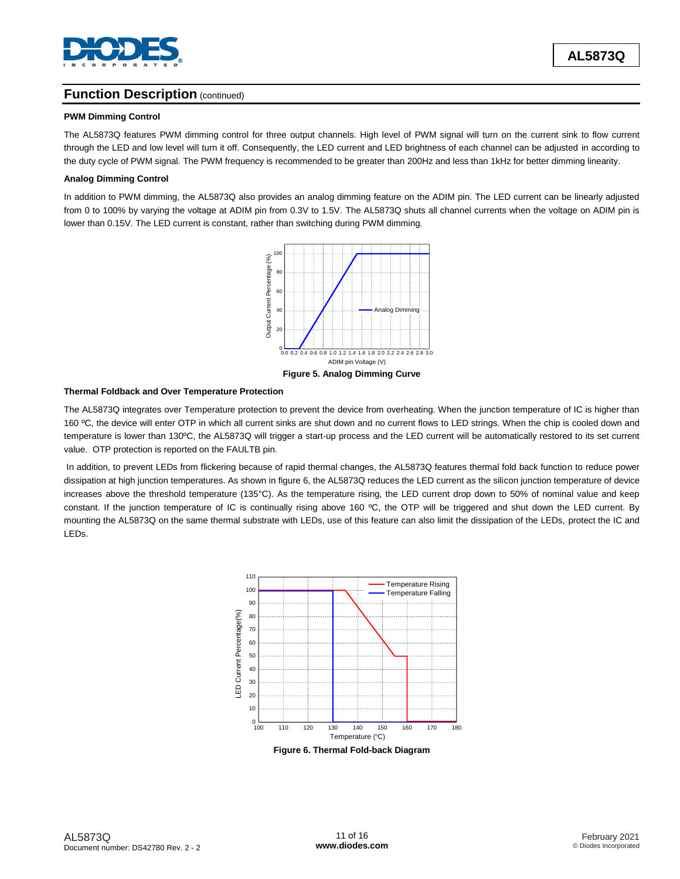

# **Function Description** (continued)

#### **PWM Dimming Control**

The AL5873Q features PWM dimming control for three output channels. High level of PWM signal will turn on the current sink to flow current through the LED and low level will turn it off. Consequently, the LED current and LED brightness of each channel can be adjusted in according to the duty cycle of PWM signal. The PWM frequency is recommended to be greater than 200Hz and less than 1kHz for better dimming linearity.

#### **Analog Dimming Control**

In addition to PWM dimming, the AL5873Q also provides an analog dimming feature on the ADIM pin. The LED current can be linearly adjusted from 0 to 100% by varying the voltage at ADIM pin from 0.3V to 1.5V. The AL5873Q shuts all channel currents when the voltage on ADIM pin is lower than 0.15V. The LED current is constant, rather than switching during PWM dimming.



# **Thermal Foldback and Over Temperature Protection**

The AL5873Q integrates over Temperature protection to prevent the device from overheating. When the junction temperature of IC is higher than 160 ºC, the device will enter OTP in which all current sinks are shut down and no current flows to LED strings. When the chip is cooled down and temperature is lower than 130ºC, the AL5873Q will trigger a start-up process and the LED current will be automatically restored to its set current value. OTP protection is reported on the FAULTB pin.

In addition, to prevent LEDs from flickering because of rapid thermal changes, the AL5873Q features thermal fold back function to reduce power dissipation at high junction temperatures. As shown in figure 6, the AL5873Q reduces the LED current as the silicon junction temperature of device increases above the threshold temperature (135°C). As the temperature rising, the LED current drop down to 50% of nominal value and keep constant. If the junction temperature of IC is continually rising above 160 °C, the OTP will be triggered and shut down the LED current. By mounting the AL5873Q on the same thermal substrate with LEDs, use of this feature can also limit the dissipation of the LEDs, protect the IC and LEDs.



**Figure 6. Thermal Fold-back Diagram**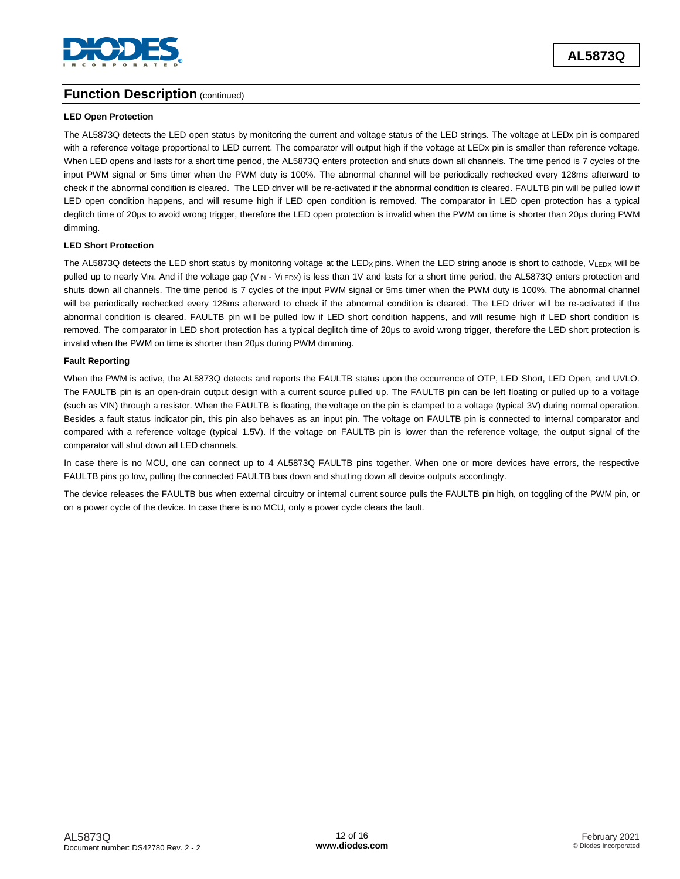

# **Function Description** (continued)

### **LED Open Protection**

The AL5873Q detects the LED open status by monitoring the current and voltage status of the LED strings. The voltage at LEDx pin is compared with a reference voltage proportional to LED current. The comparator will output high if the voltage at LEDx pin is smaller than reference voltage. When LED opens and lasts for a short time period, the AL5873Q enters protection and shuts down all channels. The time period is 7 cycles of the input PWM signal or 5ms timer when the PWM duty is 100%. The abnormal channel will be periodically rechecked every 128ms afterward to check if the abnormal condition is cleared. The LED driver will be re-activated if the abnormal condition is cleared. FAULTB pin will be pulled low if LED open condition happens, and will resume high if LED open condition is removed. The comparator in LED open protection has a typical deglitch time of 20μs to avoid wrong trigger, therefore the LED open protection is invalid when the PWM on time is shorter than 20μs during PWM dimming.

### **LED Short Protection**

The AL5873Q detects the LED short status by monitoring voltage at the LEDx pins. When the LED string anode is short to cathode, VLEDX will be pulled up to nearly V<sub>IN</sub>. And if the voltage gap (V<sub>IN</sub> - V<sub>LEDX</sub>) is less than 1V and lasts for a short time period, the AL5873Q enters protection and shuts down all channels. The time period is 7 cycles of the input PWM signal or 5ms timer when the PWM duty is 100%. The abnormal channel will be periodically rechecked every 128ms afterward to check if the abnormal condition is cleared. The LED driver will be re-activated if the abnormal condition is cleared. FAULTB pin will be pulled low if LED short condition happens, and will resume high if LED short condition is removed. The comparator in LED short protection has a typical deglitch time of 20μs to avoid wrong trigger, therefore the LED short protection is invalid when the PWM on time is shorter than 20μs during PWM dimming.

### **Fault Reporting**

When the PWM is active, the AL5873Q detects and reports the FAULTB status upon the occurrence of OTP, LED Short, LED Open, and UVLO. The FAULTB pin is an open-drain output design with a current source pulled up. The FAULTB pin can be left floating or pulled up to a voltage (such as VIN) through a resistor. When the FAULTB is floating, the voltage on the pin is clamped to a voltage (typical 3V) during normal operation. Besides a fault status indicator pin, this pin also behaves as an input pin. The voltage on FAULTB pin is connected to internal comparator and compared with a reference voltage (typical 1.5V). If the voltage on FAULTB pin is lower than the reference voltage, the output signal of the comparator will shut down all LED channels.

In case there is no MCU, one can connect up to 4 AL5873Q FAULTB pins together. When one or more devices have errors, the respective FAULTB pins go low, pulling the connected FAULTB bus down and shutting down all device outputs accordingly.

The device releases the FAULTB bus when external circuitry or internal current source pulls the FAULTB pin high, on toggling of the PWM pin, or on a power cycle of the device. In case there is no MCU, only a power cycle clears the fault.

**AL5873Q**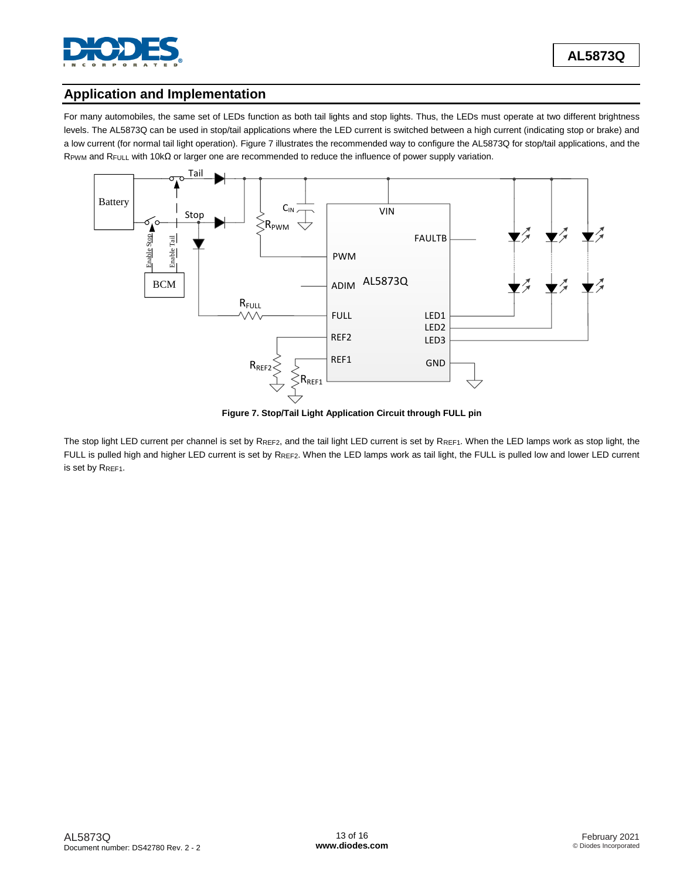

# **Application and Implementation**

For many automobiles, the same set of LEDs function as both tail lights and stop lights. Thus, the LEDs must operate at two different brightness levels. The AL5873Q can be used in stop/tail applications where the LED current is switched between a high current (indicating stop or brake) and a low current (for normal tail light operation). Figure 7 illustrates the recommended way to configure the AL5873Q for stop/tail applications, and the RPWM and RFULL with 10kΩ or larger one are recommended to reduce the influence of power supply variation.



**Figure 7. Stop/Tail Light Application Circuit through FULL pin**

The stop light LED current per channel is set by RREF2, and the tail light LED current is set by RREF1. When the LED lamps work as stop light, the FULL is pulled high and higher LED current is set by RREF2. When the LED lamps work as tail light, the FULL is pulled low and lower LED current is set by RREF1.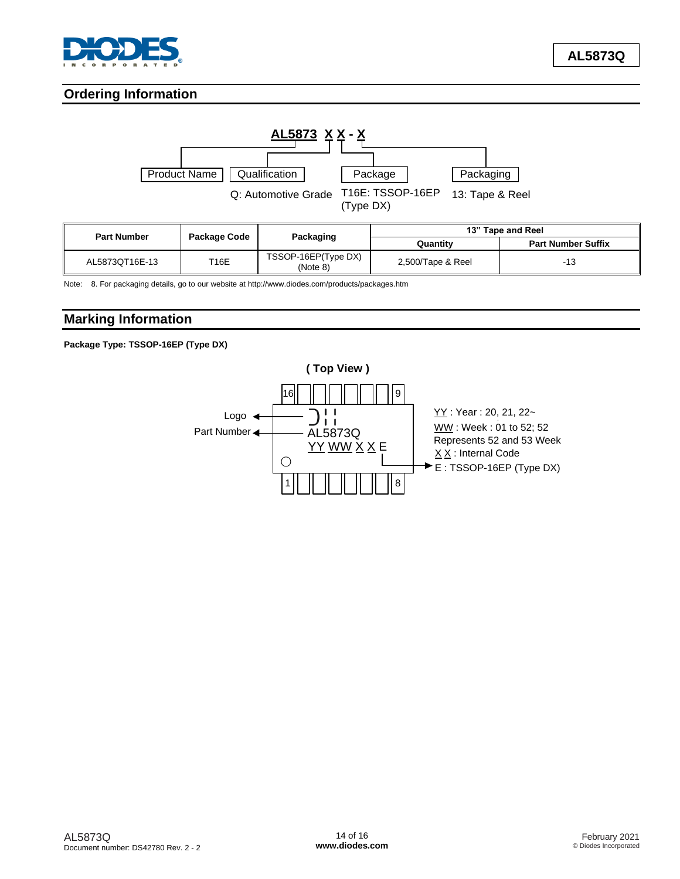

# **Ordering Information**



| <b>Part Number</b> | Package Code |                                 | 13" Tape and Reel |                           |  |
|--------------------|--------------|---------------------------------|-------------------|---------------------------|--|
|                    |              | Packaging                       | Quantity          | <b>Part Number Suffix</b> |  |
| AL5873QT16E-13     | T16E         | TSSOP-16EP(Type DX)<br>(Note 8) | 2,500/Tape & Reel | -13                       |  |

Note: 8. For packaging details, go to our website at http://www.diodes.com/products/packages.htm

# **Marking Information**

**Package Type: TSSOP-16EP (Type DX)**

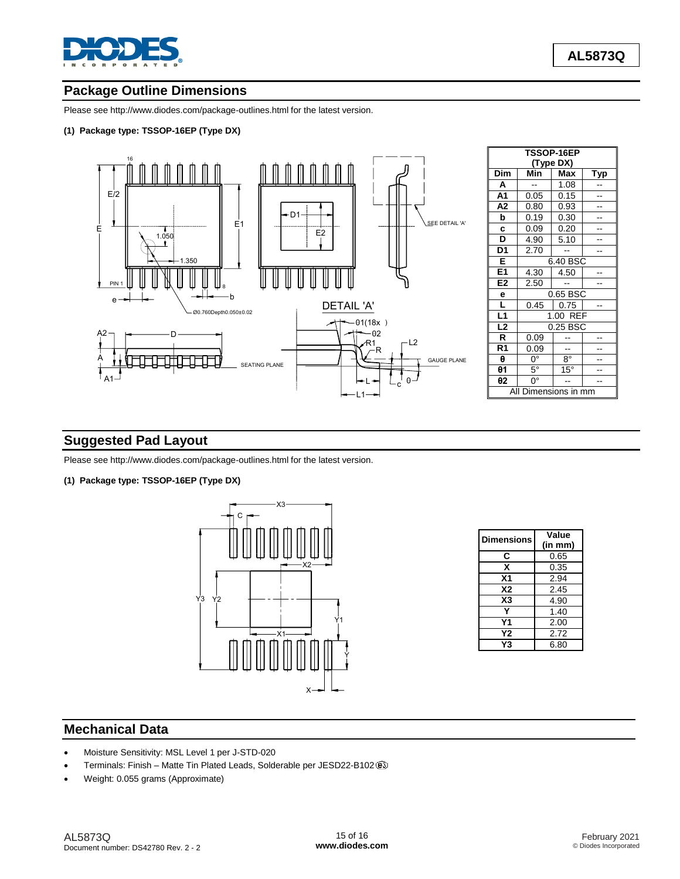

# **Package Outline Dimensions**

Please see <http://www.diodes.com/package-outlines.html> for the latest version.

### **(1) Package type: TSSOP-16EP (Type DX)**



# **Suggested Pad Layout**

Please see <http://www.diodes.com/package-outlines.html> for the latest version.

**(1) Package type: TSSOP-16EP (Type DX)**



| Dimensions     | Value   |  |
|----------------|---------|--|
|                | (in mm) |  |
| C              | 0.65    |  |
| x              | 0.35    |  |
| Χ1             | 2.94    |  |
| <b>X2</b>      | 2.45    |  |
| X <sub>3</sub> | 4.90    |  |
|                | 1.40    |  |
| Υ1             | 2.00    |  |
| Υ2             | 2.72    |  |
| Y3             | 6.80    |  |

## **Mechanical Data**

- Moisture Sensitivity: MSL Level 1 per J-STD-020
- Terminals: Finish Matte Tin Plated Leads, Solderable per JESD22-B102
- Weight: 0.055 grams (Approximate)